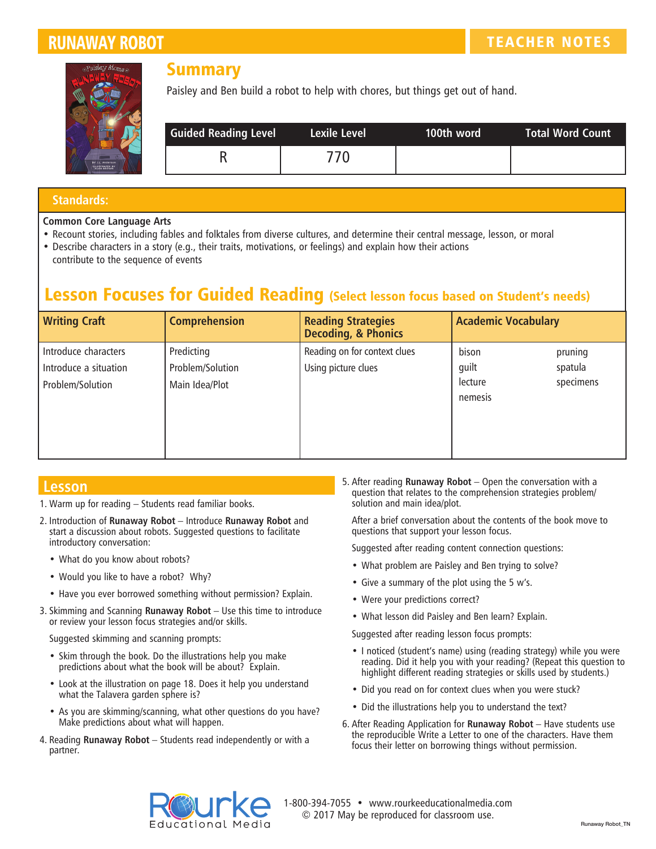

## **Summary**

Paisley and Ben build a robot to help with chores, but things get out of hand.

| <b>Guided Reading Level</b> | Lexile Level | 100th word | Total Word Count |
|-----------------------------|--------------|------------|------------------|
|                             | 770.         |            |                  |

### **Standards:**

#### **Common Core Language Arts**

- Recount stories, including fables and folktales from diverse cultures, and determine their central message, lesson, or moral
- Describe characters in a story (e.g., their traits, motivations, or feelings) and explain how their actions contribute to the sequence of events

## **.esson Focuses for Guided Reading** (Select lesson focus based on Student's needs)

| <b>Writing Craft</b>                                              | <b>Comprehension</b>                             | <b>Reading Strategies</b><br><b>Decoding, &amp; Phonics</b> | <b>Academic Vocabulary</b>           |                                 |
|-------------------------------------------------------------------|--------------------------------------------------|-------------------------------------------------------------|--------------------------------------|---------------------------------|
| Introduce characters<br>Introduce a situation<br>Problem/Solution | Predicting<br>Problem/Solution<br>Main Idea/Plot | Reading on for context clues<br>Using picture clues         | bison<br>guilt<br>lecture<br>nemesis | pruning<br>spatula<br>specimens |

## **Lesson**

- 1. Warm up for reading Students read familiar books.
- 2. Introduction of **Runaway Robot** Introduce **Runaway Robot** and start a discussion about robots. Suggested questions to facilitate introductory conversation:
	- What do you know about robots?
	- Would you like to have a robot? Why?
	- Have you ever borrowed something without permission? Explain.
- 3. Skimming and Scanning **Runaway Robot** Use this time to introduce or review your lesson focus strategies and/or skills.

Suggested skimming and scanning prompts:

- Skim through the book. Do the illustrations help you make predictions about what the book will be about? Explain.
- Look at the illustration on page 18. Does it help you understand what the Talavera garden sphere is?
- As you are skimming/scanning, what other questions do you have? Make predictions about what will happen.
- 4. Reading **Runaway Robot** Students read independently or with a partner.

5. After reading **Runaway Robot** – Open the conversation with a question that relates to the comprehension strategies problem/ solution and main idea/plot.

After a brief conversation about the contents of the book move to questions that support your lesson focus.

Suggested after reading content connection questions:

- What problem are Paisley and Ben trying to solve?
- Give a summary of the plot using the 5 w's.
- Were your predictions correct?
- What lesson did Paisley and Ben learn? Explain.

Suggested after reading lesson focus prompts:

- I noticed (student's name) using (reading strategy) while you were reading. Did it help you with your reading? (Repeat this question to highlight different reading strategies or skills used by students.)
- Did you read on for context clues when you were stuck?
- Did the illustrations help you to understand the text?
- 6. After Reading Application for **Runaway Robot** Have students use the reproducible Write a Letter to one of the characters. Have them focus their letter on borrowing things without permission.



1-800-394-7055 • www.rourkeeducationalmedia.com © 2017 May be reproduced for classroom use.